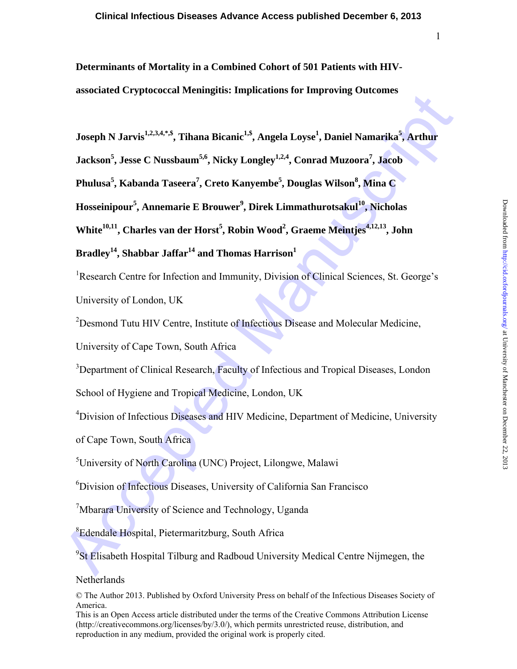**Determinants of Mortality in a Combined Cohort of 501 Patients with HIVassociated Cryptococcal Meningitis: Implications for Improving Outcomes** 

**Joseph N Jarvis1,2,3,4,\*,\$, Tihana Bicanic1,\$, Angela Loyse1 , Daniel Namarika<sup>5</sup> , Arthur** 

**Jackson<sup>5</sup> , Jesse C Nussbaum5,6, Nicky Longley1,2,4, Conrad Muzoora7 , Jacob** 

 $\mathbf{P}\mathbf{h}$ ulusa<sup>5</sup>, Kabanda Taseera<sup>7</sup>, Creto Kanyembe<sup>5</sup>, Douglas Wilson $^8$ , Mina C

**Hosseinipour<sup>5</sup> , Annemarie E Brouwer<sup>9</sup> , Direk Limmathurotsakul10, Nicholas** 

White<sup>10,11</sup>, Charles van der Horst<sup>5</sup>, Robin Wood<sup>2</sup>, Graeme Meintjes<sup>4,12,13</sup>, John

# Bradley<sup>14</sup>, Shabbar Jaffar<sup>14</sup> and Thomas Harrison<sup>1</sup>

assonance et spotoocear steamglets: implications for imploving vactomes<br>
Joseph N Jarvis<sup>12,3,4</sub>,53, Thana Bicanic<sup>15</sup>, Angela Loyse<sup>1</sup>, Daniel Namarika<sup>6</sup>, Arthur<br>
Jackson<sup>5</sup>, Jesse C Nussbaum<sup>6.6</sup>, Nicky Longley<sup>12,4</sup>, </sup> <sup>1</sup>Research Centre for Infection and Immunity, Division of Clinical Sciences, St. George's University of London, UK

<sup>2</sup>Desmond Tutu HIV Centre, Institute of Infectious Disease and Molecular Medicine,

University of Cape Town, South Africa

<sup>3</sup>Department of Clinical Research, Faculty of Infectious and Tropical Diseases, London

School of Hygiene and Tropical Medicine, London, UK

<sup>4</sup>Division of Infectious Diseases and HIV Medicine, Department of Medicine, University

of Cape Town, South Africa

5 University of North Carolina (UNC) Project, Lilongwe, Malawi

6 Division of Infectious Diseases, University of California San Francisco

<sup>7</sup>Mbarara University of Science and Technology, Uganda

8 Edendale Hospital, Pietermaritzburg, South Africa

<sup>9</sup>St Elisabeth Hospital Tilburg and Radboud University Medical Centre Nijmegen, the

# Netherlands

This is an Open Access article distributed under the terms of the Creative Commons Attribution License (http://creativecommons.org/licenses/by/3.0/), which permits unrestricted reuse, distribution, and reproduction in any medium, provided the original work is properly cited.

<sup>©</sup> The Author 2013. Published by Oxford University Press on behalf of the Infectious Diseases Society of America.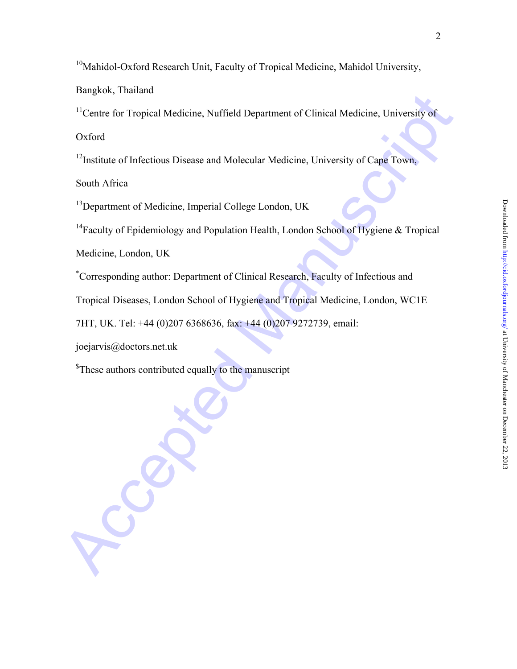<sup>10</sup>Mahidol-Oxford Research Unit, Faculty of Tropical Medicine, Mahidol University,

Bangkok, Thailand

Exercity for Tropical Medicine, Nuffield Department of Clinical Medicine, University of<br>
This critical of Infectious Disease and Molecular Medicine, University of Cape Town,<br>
This critical of Infectious Disease and Molecul <sup>11</sup>Centre for Tropical Medicine, Nuffield Department of Clinical Medicine, University of

Oxford

<sup>12</sup>Institute of Infectious Disease and Molecular Medicine, University of Cape Town,

South Africa

<sup>13</sup>Department of Medicine, Imperial College London, UK

<sup>14</sup>Faculty of Epidemiology and Population Health, London School of Hygiene & Tropical

Medicine, London, UK

\* Corresponding author: Department of Clinical Research, Faculty of Infectious and

Tropical Diseases, London School of Hygiene and Tropical Medicine, London, WC1E

7HT, UK. Tel: +44 (0)207 6368636, fax: +44 (0)207 9272739, email:

joejarvis@doctors.net.uk

<sup>\$</sup>These authors contributed equally to the manuscript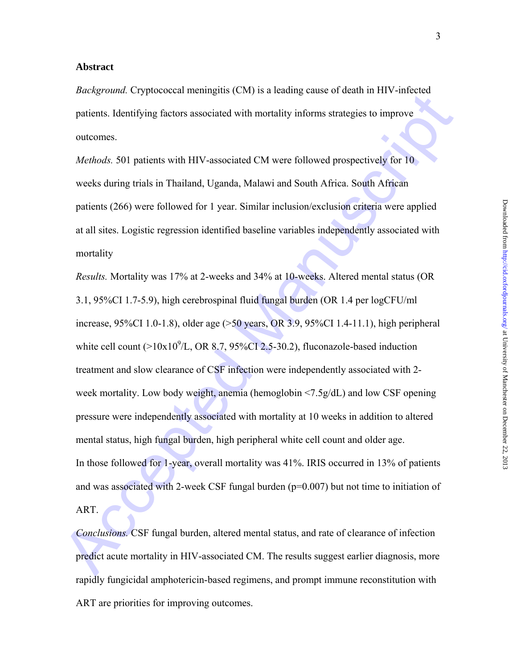#### **Abstract**

*Background.* Cryptococcal meningitis (CM) is a leading cause of death in HIV-infected patients. Identifying factors associated with mortality informs strategies to improve outcomes.

*Methods.* 501 patients with HIV-associated CM were followed prospectively for 10 weeks during trials in Thailand, Uganda, Malawi and South Africa. South African patients (266) were followed for 1 year. Similar inclusion/exclusion criteria were applied at all sites. Logistic regression identified baseline variables independently associated with mortality

*Entropologydian*. Cryptoclecar incumignet (cas) is a realing case of ceal in Fit v-infected<br>patients. Identifying factors associated with mortality informs strategies to improve<br>outcomes.<br>Methods. 501 patients with HIV-a *Results.* Mortality was 17% at 2-weeks and 34% at 10-weeks. Altered mental status (OR 3.1, 95%CI 1.7-5.9), high cerebrospinal fluid fungal burden (OR 1.4 per logCFU/ml increase, 95%CI 1.0-1.8), older age (>50 years, OR 3.9, 95%CI 1.4-11.1), high peripheral white cell count  $(>10x10^9/L, \text{OR } 8.7, 95\% \text{CI } 2.5-30.2)$ , fluconazole-based induction treatment and slow clearance of CSF infection were independently associated with 2 week mortality. Low body weight, anemia (hemoglobin <7.5g/dL) and low CSF opening pressure were independently associated with mortality at 10 weeks in addition to altered mental status, high fungal burden, high peripheral white cell count and older age. In those followed for 1-year, overall mortality was 41%. IRIS occurred in 13% of patients and was associated with 2-week CSF fungal burden ( $p=0.007$ ) but not time to initiation of ART.

*Conclusions.* CSF fungal burden, altered mental status, and rate of clearance of infection predict acute mortality in HIV-associated CM. The results suggest earlier diagnosis, more rapidly fungicidal amphotericin-based regimens, and prompt immune reconstitution with ART are priorities for improving outcomes.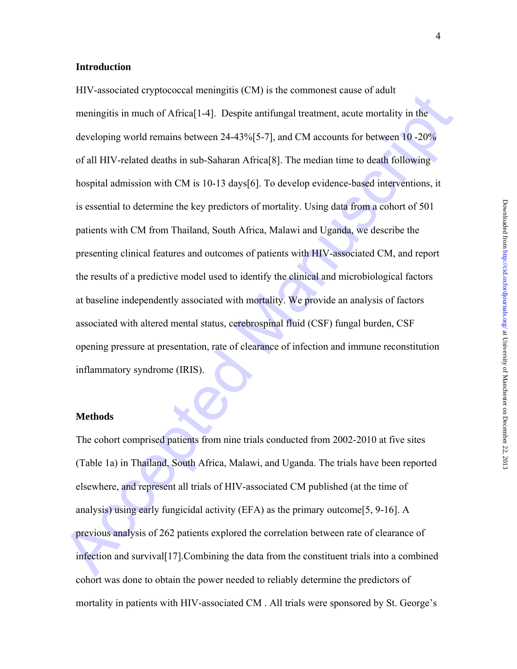#### **Introduction**

The values of sphecked manufator (extry) is the commons cease on admit-<br>memingitis in much of Africal<sup>[14</sup>]. Despite antifingal treatment, acute mortality in the<br>developing world remains between 24-43%[5-7], and CM accoun HIV-associated cryptococcal meningitis (CM) is the commonest cause of adult meningitis in much of Africa[1-4]. Despite antifungal treatment, acute mortality in the developing world remains between 24-43%[5-7], and CM accounts for between 10 -20% of all HIV-related deaths in sub-Saharan Africa[8]. The median time to death following hospital admission with CM is 10-13 days[6]. To develop evidence-based interventions, it is essential to determine the key predictors of mortality. Using data from a cohort of 501 patients with CM from Thailand, South Africa, Malawi and Uganda, we describe the presenting clinical features and outcomes of patients with HIV-associated CM, and report the results of a predictive model used to identify the clinical and microbiological factors at baseline independently associated with mortality. We provide an analysis of factors associated with altered mental status, cerebrospinal fluid (CSF) fungal burden, CSF opening pressure at presentation, rate of clearance of infection and immune reconstitution inflammatory syndrome (IRIS).

#### **Methods**

The cohort comprised patients from nine trials conducted from 2002-2010 at five sites (Table 1a) in Thailand, South Africa, Malawi, and Uganda. The trials have been reported elsewhere, and represent all trials of HIV-associated CM published (at the time of analysis) using early fungicidal activity (EFA) as the primary outcome [5, 9-16]. A previous analysis of 262 patients explored the correlation between rate of clearance of infection and survival[17].Combining the data from the constituent trials into a combined cohort was done to obtain the power needed to reliably determine the predictors of mortality in patients with HIV-associated CM . All trials were sponsored by St. George's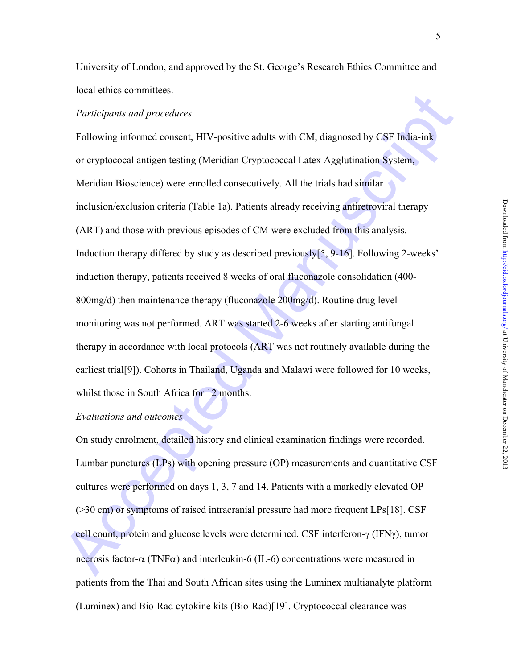University of London, and approved by the St. George's Research Ethics Committee and local ethics committees.

#### *Participants and procedures*

*Participants and procedures*<br> *Participants and procedures*<br>
Following informed consent, HIV-positive adults with CM, diagnosed by CSF India-inf<br>
or explococed antigen testing (Meridian Cryptococeal Latex Agglutination S Following informed consent, HIV-positive adults with CM, diagnosed by CSF India-ink or cryptococal antigen testing (Meridian Cryptococcal Latex Agglutination System, Meridian Bioscience) were enrolled consecutively. All the trials had similar inclusion/exclusion criteria (Table 1a). Patients already receiving antiretroviral therapy (ART) and those with previous episodes of CM were excluded from this analysis. Induction therapy differed by study as described previously[5, 9-16]. Following 2-weeks' induction therapy, patients received 8 weeks of oral fluconazole consolidation (400- 800mg/d) then maintenance therapy (fluconazole 200mg/d). Routine drug level monitoring was not performed. ART was started 2-6 weeks after starting antifungal therapy in accordance with local protocols (ART was not routinely available during the earliest trial[9]). Cohorts in Thailand, Uganda and Malawi were followed for 10 weeks, whilst those in South Africa for 12 months.

# *Evaluations and outcomes*

On study enrolment, detailed history and clinical examination findings were recorded. Lumbar punctures (LPs) with opening pressure (OP) measurements and quantitative CSF cultures were performed on days 1, 3, 7 and 14. Patients with a markedly elevated OP (>30 cm) or symptoms of raised intracranial pressure had more frequent LPs[18]. CSF cell count, protein and glucose levels were determined. CSF interferon- $\gamma$  (IFN $\gamma$ ), tumor necrosis factor- $\alpha$  (TNF $\alpha$ ) and interleukin-6 (IL-6) concentrations were measured in patients from the Thai and South African sites using the Luminex multianalyte platform (Luminex) and Bio-Rad cytokine kits (Bio-Rad)[19]. Cryptococcal clearance was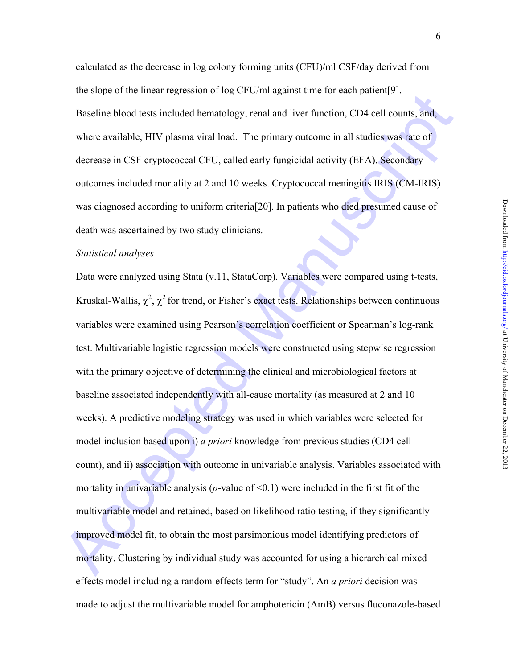calculated as the decrease in log colony forming units (CFU)/ml CSF/day derived from the slope of the linear regression of log CFU/ml against time for each patient[9]. Baseline blood tests included hematology, renal and liver function, CD4 cell counts, and, where available, HIV plasma viral load. The primary outcome in all studies was rate of decrease in CSF cryptococcal CFU, called early fungicidal activity (EFA). Secondary outcomes included mortality at 2 and 10 weeks. Cryptococcal meningitis IRIS (CM-IRIS) was diagnosed according to uniform criteria[20]. In patients who died presumed cause of death was ascertained by two study clinicians.

#### *Statistical analyses*

en. soepe of an interaction of  $\omega$  g et call agains time for eastigatearly).<br>
Buseline blood tests included hematology, renal and liver function, CD4 cell counts, and,<br>
where available, HIV plasma viral load. The primary Data were analyzed using Stata (v.11, StataCorp). Variables were compared using t-tests, Kruskal-Wallis,  $\chi^2$ ,  $\chi^2$  for trend, or Fisher's exact tests. Relationships between continuous variables were examined using Pearson's correlation coefficient or Spearman's log-rank test. Multivariable logistic regression models were constructed using stepwise regression with the primary objective of determining the clinical and microbiological factors at baseline associated independently with all-cause mortality (as measured at 2 and 10 weeks). A predictive modeling strategy was used in which variables were selected for model inclusion based upon i) *a priori* knowledge from previous studies (CD4 cell count), and ii) association with outcome in univariable analysis. Variables associated with mortality in univariable analysis ( $p$ -value of  $\leq 0.1$ ) were included in the first fit of the multivariable model and retained, based on likelihood ratio testing, if they significantly improved model fit, to obtain the most parsimonious model identifying predictors of mortality. Clustering by individual study was accounted for using a hierarchical mixed effects model including a random-effects term for "study". An *a priori* decision was made to adjust the multivariable model for amphotericin (AmB) versus fluconazole-based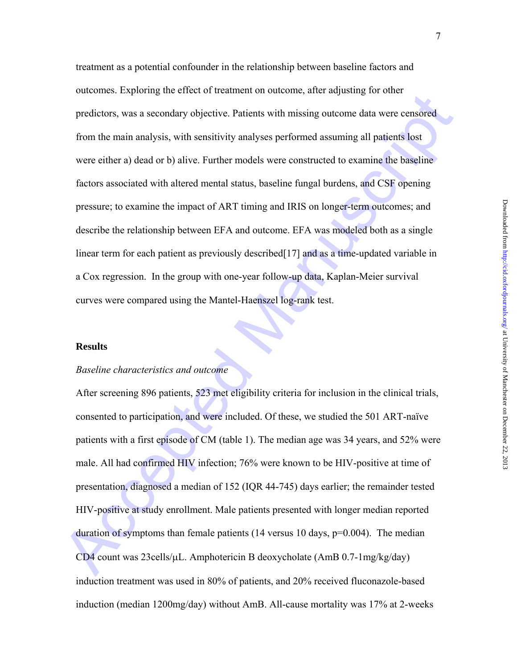oucomes. Expansing the criter of heuniten to battering the transposition, there are adjusting to battering productions, was a secondary objective. Patterns with missing outcome data were ensisted from the main analysis, wi treatment as a potential confounder in the relationship between baseline factors and outcomes. Exploring the effect of treatment on outcome, after adjusting for other predictors, was a secondary objective. Patients with missing outcome data were censored from the main analysis, with sensitivity analyses performed assuming all patients lost were either a) dead or b) alive. Further models were constructed to examine the baseline factors associated with altered mental status, baseline fungal burdens, and CSF opening pressure; to examine the impact of ART timing and IRIS on longer-term outcomes; and describe the relationship between EFA and outcome. EFA was modeled both as a single linear term for each patient as previously described [17] and as a time-updated variable in a Cox regression. In the group with one-year follow-up data, Kaplan-Meier survival curves were compared using the Mantel-Haenszel log-rank test.

#### **Results**

#### *Baseline characteristics and outcome*

After screening 896 patients, 523 met eligibility criteria for inclusion in the clinical trials, consented to participation, and were included. Of these, we studied the 501 ART-naïve patients with a first episode of CM (table 1). The median age was 34 years, and 52% were male. All had confirmed HIV infection; 76% were known to be HIV-positive at time of presentation, diagnosed a median of 152 (IQR 44-745) days earlier; the remainder tested HIV-positive at study enrollment. Male patients presented with longer median reported duration of symptoms than female patients (14 versus 10 days,  $p=0.004$ ). The median CD4 count was 23cells/ $\mu$ L. Amphotericin B deoxycholate (AmB 0.7-1mg/kg/day) induction treatment was used in 80% of patients, and 20% received fluconazole-based induction (median 1200mg/day) without AmB. All-cause mortality was 17% at 2-weeks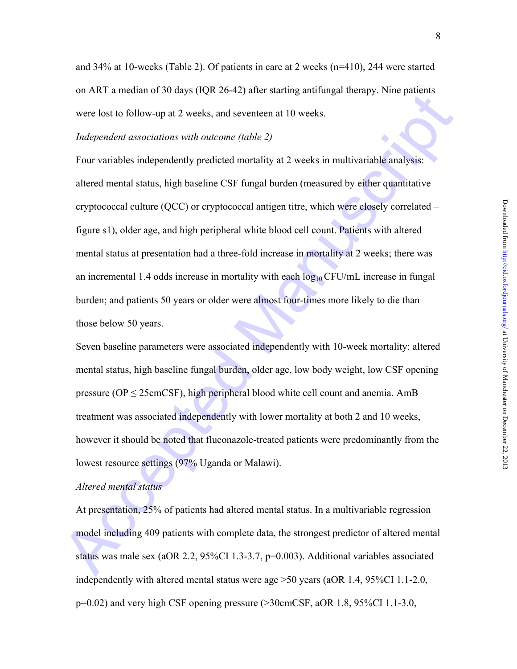#### *Independent associations with outcome (table 2)*

on Arch a measured 30 sups (represented and securities) and the strength measured Manuscript<br>
Acceptod Manuscription with outcome (table 2)<br>
Four variables independently predicted mortality at 2 weeks in multivariable ana Four variables independently predicted mortality at 2 weeks in multivariable analysis: altered mental status, high baseline CSF fungal burden (measured by either quantitative cryptococcal culture (QCC) or cryptococcal antigen titre, which were closely correlated – figure s1), older age, and high peripheral white blood cell count. Patients with altered mental status at presentation had a three-fold increase in mortality at 2 weeks; there was an incremental 1.4 odds increase in mortality with each  $log_{10}$  CFU/mL increase in fungal burden; and patients 50 years or older were almost four-times more likely to die than those below 50 years.

Seven baseline parameters were associated independently with 10-week mortality: altered mental status, high baseline fungal burden, older age, low body weight, low CSF opening pressure ( $OP \leq 25$ cmCSF), high peripheral blood white cell count and anemia. AmB treatment was associated independently with lower mortality at both 2 and 10 weeks, however it should be noted that fluconazole-treated patients were predominantly from the lowest resource settings (97% Uganda or Malawi).

### *Altered mental status*

At presentation, 25% of patients had altered mental status. In a multivariable regression model including 409 patients with complete data, the strongest predictor of altered mental status was male sex (aOR 2.2,  $95\%$ CI 1.3-3.7, p=0.003). Additional variables associated independently with altered mental status were age >50 years (aOR 1.4, 95%CI 1.1-2.0, p=0.02) and very high CSF opening pressure (>30cmCSF, aOR 1.8, 95%CI 1.1-3.0,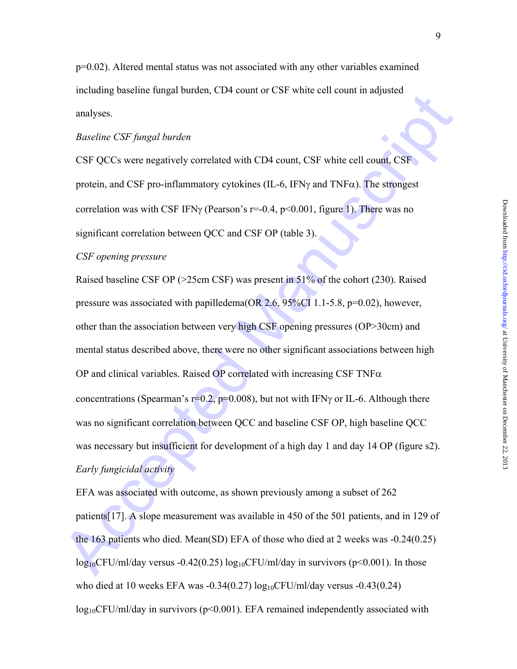p=0.02). Altered mental status was not associated with any other variables examined including baseline fungal burden, CD4 count or CSF white cell count in adjusted analyses.

#### *Baseline CSF fungal burden*

CSF QCCs were negatively correlated with CD4 count, CSF white cell count, CSF protein, and CSF pro-inflammatory cytokines (IL-6, IFN $\gamma$  and TNF $\alpha$ ). The strongest correlation was with CSF IFN $\gamma$  (Pearson's r=-0.4, p<0.001, figure 1). There was no significant correlation between QCC and CSF OP (table 3).

#### *CSF opening pressure*

mentang basemic tingth batterit, CD-V count of Carl Winte Cet Column tagjacted<br>
analyses<br>
Razeline CSF fungal burden<br>
CSF QCCs were negatively correlated with CD4 count, CSF white cell count, CSF<br>
protein, and CSF pro-inf Raised baseline CSF OP (>25cm CSF) was present in 51% of the cohort (230). Raised pressure was associated with papilledema(OR 2.6, 95%CI 1.1-5.8, p=0.02), however, other than the association between very high CSF opening pressures (OP>30cm) and mental status described above, there were no other significant associations between high OP and clinical variables. Raised OP correlated with increasing CSF TNF $\alpha$ concentrations (Spearman's  $r=0.2$ ,  $p=0.008$ ), but not with IFN $\gamma$  or IL-6. Although there was no significant correlation between QCC and baseline CSF OP, high baseline QCC was necessary but insufficient for development of a high day 1 and day 14 OP (figure s2). *Early fungicidal activity* 

EFA was associated with outcome, as shown previously among a subset of 262 patients[17]. A slope measurement was available in 450 of the 501 patients, and in 129 of the 163 patients who died. Mean(SD) EFA of those who died at 2 weeks was -0.24(0.25)  $log_{10}$ CFU/ml/day versus -0.42(0.25)  $log_{10}$ CFU/ml/day in survivors (p<0.001). In those who died at 10 weeks EFA was  $-0.34(0.27)$  log<sub>10</sub>CFU/ml/day versus  $-0.43(0.24)$  $log_{10}$ CFU/ml/day in survivors (p<0.001). EFA remained independently associated with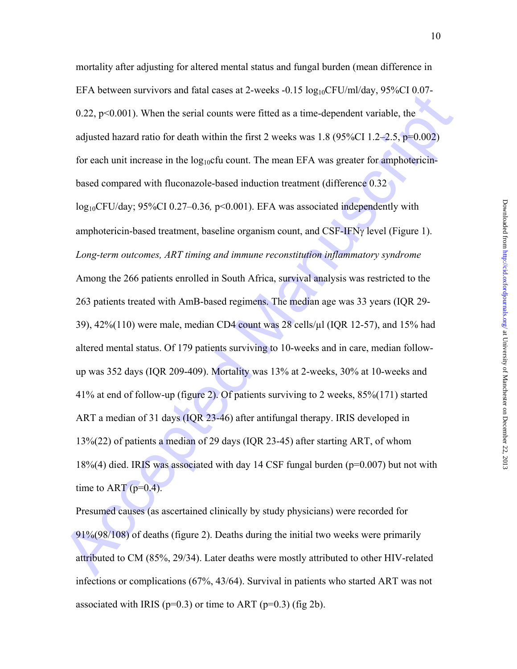EFTA Decision and Finder of the serial counters were fitted as at time-dependent variable, the adjusted hazard ratio for death within the first 2 weeks was 1.8 (95%CT 1.2–2.5, p=0.002) for each unit increase in the log<sub>10</sub> mortality after adjusting for altered mental status and fungal burden (mean difference in EFA between survivors and fatal cases at 2-weeks  $-0.15 \log_{10} CFU/ml/day$ , 95%CI 0.07-0.22,  $p<0.001$ ). When the serial counts were fitted as a time-dependent variable, the adjusted hazard ratio for death within the first 2 weeks was  $1.8$  (95%CI 1.2–2.5, p=0.002) for each unit increase in the  $log_{10}$ cfu count. The mean EFA was greater for amphotericinbased compared with fluconazole-based induction treatment (difference 0.32 log10CFU/day; 95%CI 0.27–0.36*,* p<0.001). EFA was associated independently with amphotericin-based treatment, baseline organism count, and  $CSF-IFN\gamma$  level (Figure 1). *Long-term outcomes, ART timing and immune reconstitution inflammatory syndrome*  Among the 266 patients enrolled in South Africa, survival analysis was restricted to the 263 patients treated with AmB-based regimens. The median age was 33 years (IQR 29- 39), 42%(110) were male, median CD4 count was 28 cells/µl (IQR 12-57), and 15% had altered mental status. Of 179 patients surviving to 10-weeks and in care, median followup was 352 days (IQR 209-409). Mortality was 13% at 2-weeks, 30% at 10-weeks and 41% at end of follow-up (figure 2). Of patients surviving to 2 weeks, 85%(171) started ART a median of 31 days (IQR 23-46) after antifungal therapy. IRIS developed in 13%(22) of patients a median of 29 days (IQR 23-45) after starting ART, of whom 18%(4) died. IRIS was associated with day 14 CSF fungal burden (p=0.007) but not with time to ART ( $p=0.4$ ).

Presumed causes (as ascertained clinically by study physicians) were recorded for 91%(98/108) of deaths (figure 2). Deaths during the initial two weeks were primarily attributed to CM (85%, 29/34). Later deaths were mostly attributed to other HIV-related infections or complications (67%, 43/64). Survival in patients who started ART was not associated with IRIS ( $p=0.3$ ) or time to ART ( $p=0.3$ ) (fig 2b).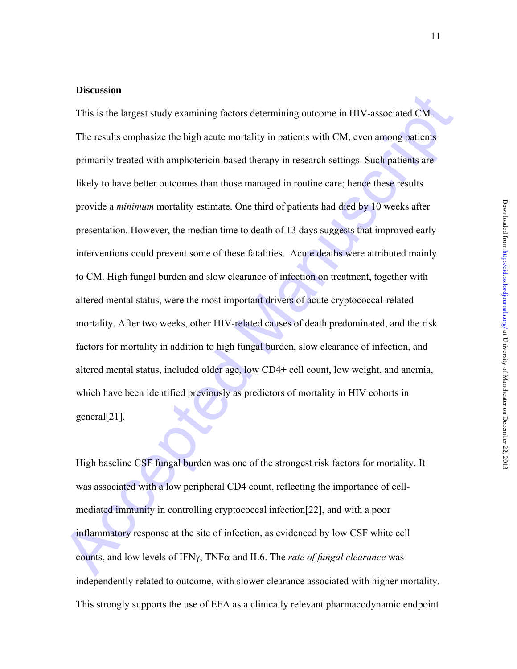#### **Discussion**

**EXECUTE:**<br>This is the largest study examining factors determining outcome in HIV-associated CM.<br>The results emphasize the high acute mortality in patients with CM, even among patients<br>primarily treated with amphotericin-This is the largest study examining factors determining outcome in HIV-associated CM. The results emphasize the high acute mortality in patients with CM, even among patients primarily treated with amphotericin-based therapy in research settings. Such patients are likely to have better outcomes than those managed in routine care; hence these results provide a *minimum* mortality estimate. One third of patients had died by 10 weeks after presentation. However, the median time to death of 13 days suggests that improved early interventions could prevent some of these fatalities. Acute deaths were attributed mainly to CM. High fungal burden and slow clearance of infection on treatment, together with altered mental status, were the most important drivers of acute cryptococcal-related mortality. After two weeks, other HIV-related causes of death predominated, and the risk factors for mortality in addition to high fungal burden, slow clearance of infection, and altered mental status, included older age, low CD4+ cell count, low weight, and anemia, which have been identified previously as predictors of mortality in HIV cohorts in general[21].

High baseline CSF fungal burden was one of the strongest risk factors for mortality. It was associated with a low peripheral CD4 count, reflecting the importance of cellmediated immunity in controlling cryptococcal infection[22], and with a poor inflammatory response at the site of infection, as evidenced by low CSF white cell counts, and low levels of IFN, TNF and IL6. The *rate of fungal clearance* was independently related to outcome, with slower clearance associated with higher mortality. This strongly supports the use of EFA as a clinically relevant pharmacodynamic endpoint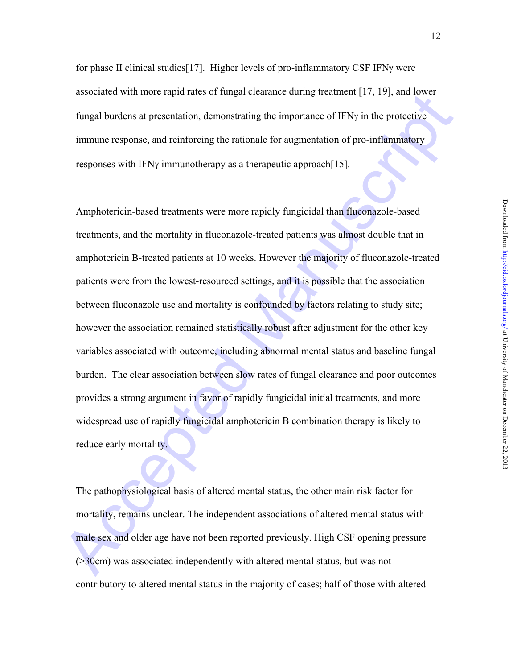for phase II clinical studies [17]. Higher levels of pro-inflammatory CSF IFN $\gamma$  were associated with more rapid rates of fungal clearance during treatment [17, 19], and lower fungal burdens at presentation, demonstrating the importance of  $IFN\gamma$  in the protective immune response, and reinforcing the rationale for augmentation of pro-inflammatory responses with IFN $\gamma$  immunotherapy as a therapeutic approach [15].

associated with interesting of numple relations of the production of the periodic orientation of productive fungtion and bursts at presentation, demonstrating the importance of IFNy in the protective immune response, and Amphotericin-based treatments were more rapidly fungicidal than fluconazole-based treatments, and the mortality in fluconazole-treated patients was almost double that in amphotericin B-treated patients at 10 weeks. However the majority of fluconazole-treated patients were from the lowest-resourced settings, and it is possible that the association between fluconazole use and mortality is confounded by factors relating to study site; however the association remained statistically robust after adjustment for the other key variables associated with outcome, including abnormal mental status and baseline fungal burden. The clear association between slow rates of fungal clearance and poor outcomes provides a strong argument in favor of rapidly fungicidal initial treatments, and more widespread use of rapidly fungicidal amphotericin B combination therapy is likely to reduce early mortality.

The pathophysiological basis of altered mental status, the other main risk factor for mortality, remains unclear. The independent associations of altered mental status with male sex and older age have not been reported previously. High CSF opening pressure (>30cm) was associated independently with altered mental status, but was not contributory to altered mental status in the majority of cases; half of those with altered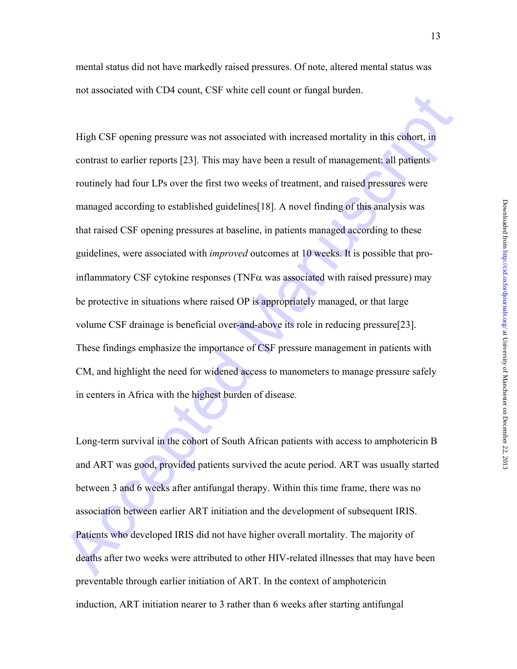mental status did not have markedly raised pressures. Of note, altered mental status was not associated with CD4 count, CSF white cell count or fungal burden.

not associated with CFV coality CFF with the celebration in and Hage base.<br>
High CSF opening pressure was not associated with increased mortality in this cohort, in<br>
contrast to earlier reports [23]. This may have been a r High CSF opening pressure was not associated with increased mortality in this cohort, in contrast to earlier reports [23]. This may have been a result of management: all patients routinely had four LPs over the first two weeks of treatment, and raised pressures were managed according to established guidelines[18]. A novel finding of this analysis was that raised CSF opening pressures at baseline, in patients managed according to these guidelines, were associated with *improved* outcomes at 10 weeks. It is possible that proinflammatory CSF cytokine responses (TNF $\alpha$  was associated with raised pressure) may be protective in situations where raised OP is appropriately managed, or that large volume CSF drainage is beneficial over-and-above its role in reducing pressure[23]. These findings emphasize the importance of CSF pressure management in patients with CM, and highlight the need for widened access to manometers to manage pressure safely in centers in Africa with the highest burden of disease.

Long-term survival in the cohort of South African patients with access to amphotericin B and ART was good, provided patients survived the acute period. ART was usually started between 3 and 6 weeks after antifungal therapy. Within this time frame, there was no association between earlier ART initiation and the development of subsequent IRIS. Patients who developed IRIS did not have higher overall mortality. The majority of deaths after two weeks were attributed to other HIV-related illnesses that may have been preventable through earlier initiation of ART. In the context of amphotericin induction, ART initiation nearer to 3 rather than 6 weeks after starting antifungal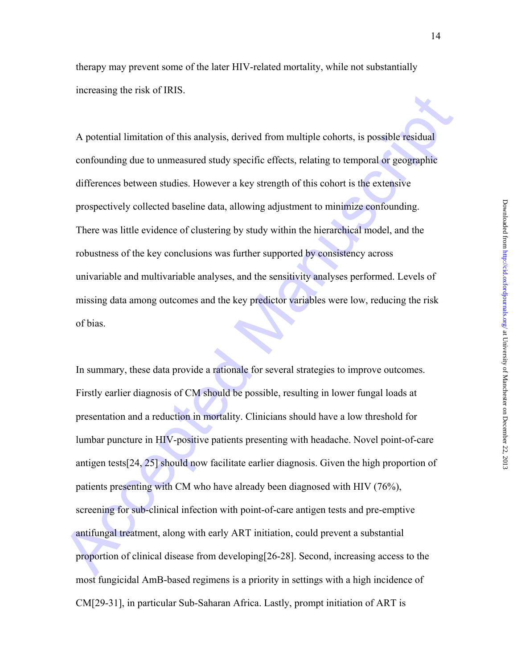therapy may prevent some of the later HIV-related mortality, while not substantially increasing the risk of IRIS.

A potential limitation of this analysis, derived from multiple cohorts, is possible residual confounding due to unmeasured study specific effects, relating to temporal or geographic differences between studies. However a key strength of this cohort is the extensive prospectively collected baseline data, allowing adjustment to minimize confounding. There was little evidence of clustering by study within the hierarchical model, and the robustness of the key conclusions was further supported by consistency across univariable and multivariable analyses, and the sensitivity analyses performed. Levels of missing data among outcomes and the key predictor variables were low, reducing the risk of bias.

A potential limitation of this malysis, derived from multiple cohorts, is possible residual<br>confounding due to unneasured study specific effects, relating to temporal or geographic<br>differences between studies. However a k In summary, these data provide a rationale for several strategies to improve outcomes. Firstly earlier diagnosis of CM should be possible, resulting in lower fungal loads at presentation and a reduction in mortality. Clinicians should have a low threshold for lumbar puncture in HIV-positive patients presenting with headache. Novel point-of-care antigen tests[24, 25] should now facilitate earlier diagnosis. Given the high proportion of patients presenting with CM who have already been diagnosed with HIV (76%), screening for sub-clinical infection with point-of-care antigen tests and pre-emptive antifungal treatment, along with early ART initiation, could prevent a substantial proportion of clinical disease from developing[26-28]. Second, increasing access to the most fungicidal AmB-based regimens is a priority in settings with a high incidence of CM[29-31], in particular Sub-Saharan Africa. Lastly, prompt initiation of ART is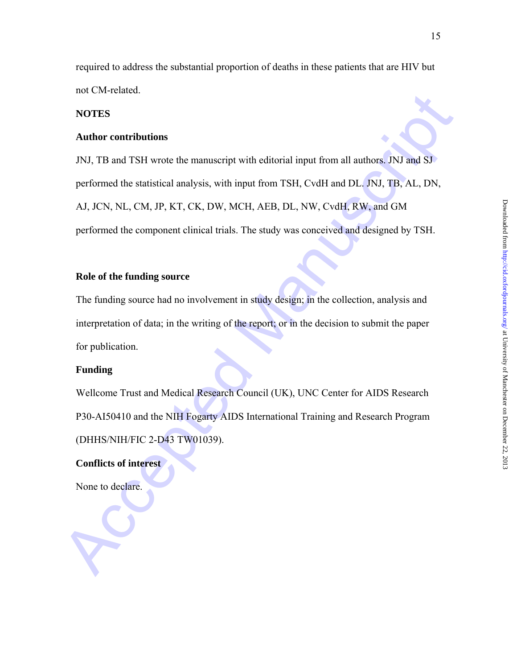required to address the substantial proportion of deaths in these patients that are HIV but not CM-related.

# **NOTES**

## **Author contributions**

not exercistion.<br>
NOTES<br>
Anthor contributions<br>
JNJ, TB and TSH wrote the manuscript with editorial input from all authors, JNJ and S.<br>
performed the statistical analysis, with input from TSH, CvdH and DL, NJ, TB, AL, DN,<br> JNJ, TB and TSH wrote the manuscript with editorial input from all authors. JNJ and SJ performed the statistical analysis, with input from TSH, CvdH and DL. JNJ, TB, AL, DN, AJ, JCN, NL, CM, JP, KT, CK, DW, MCH, AEB, DL, NW, CvdH, RW, and GM performed the component clinical trials. The study was conceived and designed by TSH.

### **Role of the funding source**

The funding source had no involvement in study design; in the collection, analysis and interpretation of data; in the writing of the report; or in the decision to submit the paper for publication.

#### **Funding**

Wellcome Trust and Medical Research Council (UK), UNC Center for AIDS Research P30-AI50410 and the NIH Fogarty AIDS International Training and Research Program (DHHS/NIH/FIC 2-D43 TW01039).

**Conflicts of interest** 

None to declare.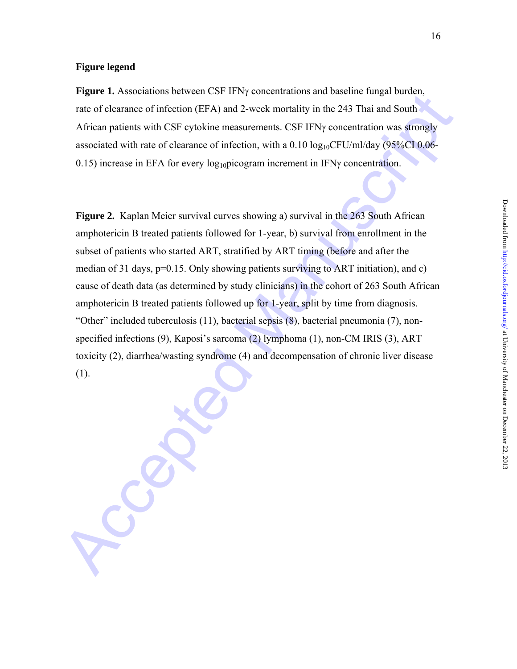#### **Figure legend**

**Figure 1.** Associations between CSF IFN<sub>Y</sub> concentrations and baseline fungal burden, rate of clearance of infection (EFA) and 2-week mortality in the 243 Thai and South African patients with CSF cytokine measurements. CSF IFNy concentration was strongly associated with rate of clearance of infection, with a  $0.10 \log_{10} CFU/ml/day$  (95%CI 0.06-0.15) increase in EFA for every  $log_{10}$ picogram increment in IFN $\gamma$  concentration.

**Expanse L.** Essociations towered est if y't concluded that the section (EFA) and 2 week mortality in the 243 Thai and South<br>African patients with CSF cytokine measurements. CSF IFNy concentration was strongly<br>associated **Figure 2.** Kaplan Meier survival curves showing a) survival in the 263 South African amphotericin B treated patients followed for 1-year, b) survival from enrollment in the subset of patients who started ART, stratified by ART timing (before and after the median of 31 days,  $p=0.15$ . Only showing patients surviving to ART initiation), and c) cause of death data (as determined by study clinicians) in the cohort of 263 South African amphotericin B treated patients followed up for 1-year, split by time from diagnosis. "Other" included tuberculosis (11), bacterial sepsis (8), bacterial pneumonia (7), nonspecified infections (9), Kaposi's sarcoma (2) lymphoma (1), non-CM IRIS (3), ART toxicity (2), diarrhea/wasting syndrome (4) and decompensation of chronic liver disease (1).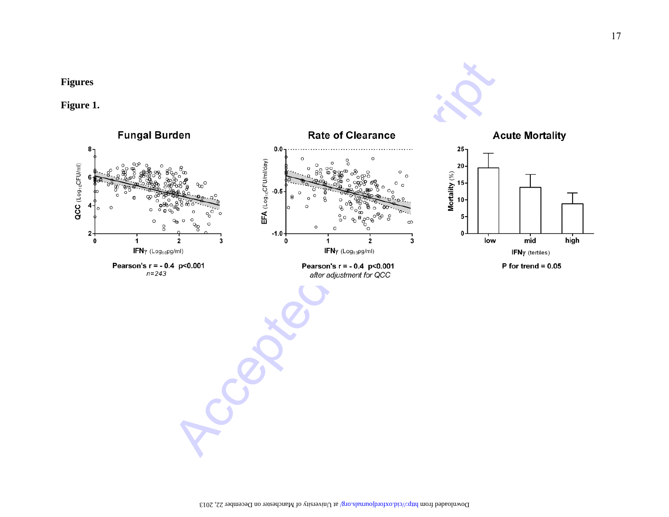





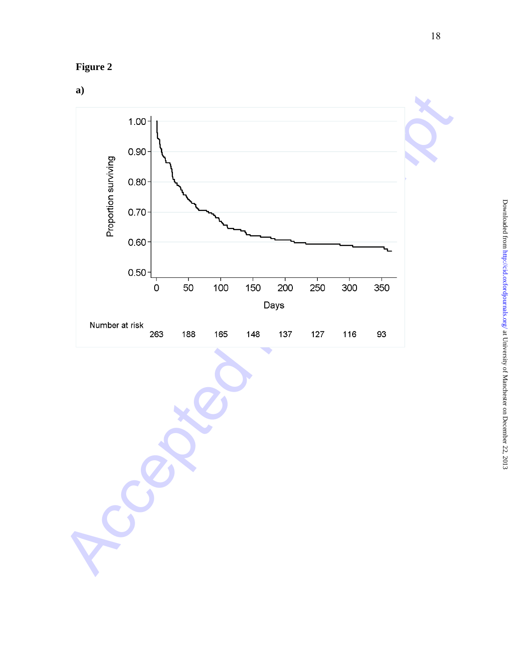# **Figure 2**

# **a)**

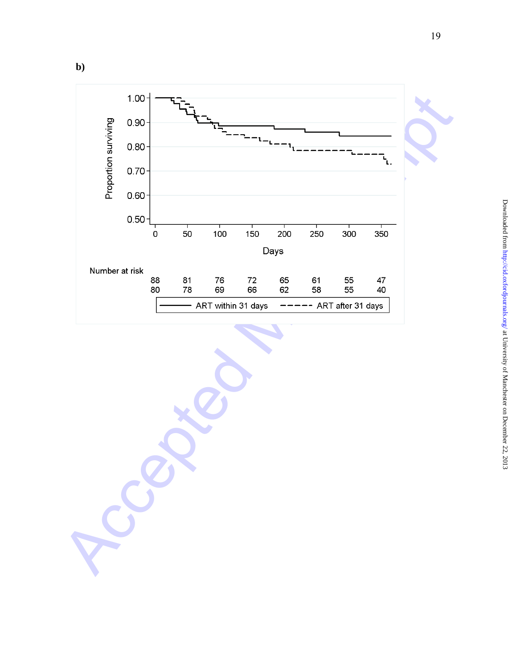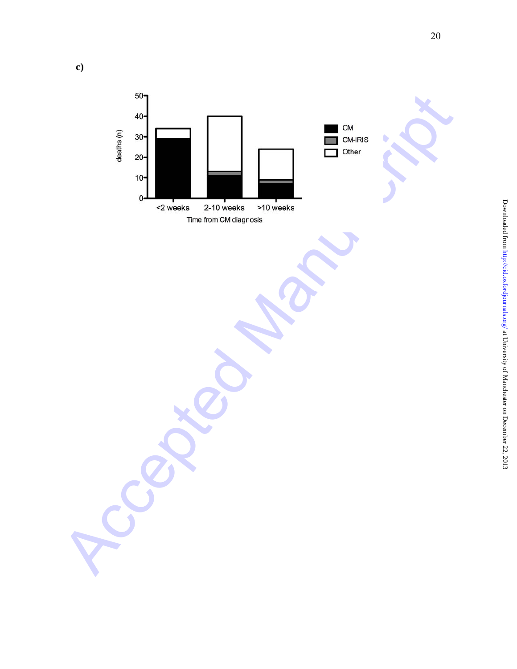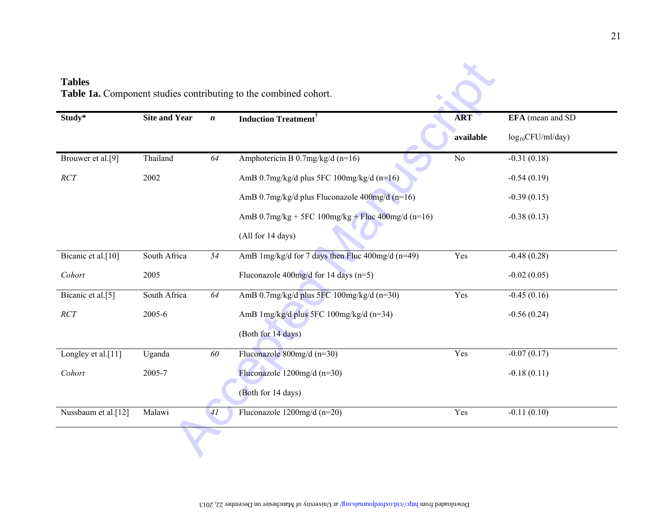|                     |                      |                  | Table 1a. Component studies contributing to the combined cohort. |                 |                       |
|---------------------|----------------------|------------------|------------------------------------------------------------------|-----------------|-----------------------|
| Study*              | <b>Site and Year</b> | $\boldsymbol{n}$ | <b>Induction Treatment</b>                                       | <b>ART</b>      | EFA (mean and SD)     |
|                     |                      |                  |                                                                  | available       | $log_{10}CFU/ml/day)$ |
| Brouwer et al.[9]   | Thailand             | 64               | Amphotericin B 0.7mg/kg/d (n=16)                                 | $\overline{No}$ | $-0.31(0.18)$         |
| $\cal{R}CT$         | 2002                 |                  | AmB $0.7$ mg/kg/d plus 5FC $100$ mg/kg/d (n=16)                  |                 | $-0.54(0.19)$         |
|                     |                      |                  | AmB 0.7mg/kg/d plus Fluconazole 400mg/d (n=16)                   |                 | $-0.39(0.15)$         |
|                     |                      |                  | AmB $0.7$ mg/kg + 5FC $100$ mg/kg + Fluc $400$ mg/d (n=16)       |                 | $-0.38(0.13)$         |
|                     |                      |                  | (All for 14 days)                                                |                 |                       |
| Bicanic et al.[10]  | South Africa         | 54               | AmB 1mg/kg/d for 7 days then Fluc 400mg/d (n=49)                 | Yes             | $-0.48(0.28)$         |
| Cohort              | 2005                 |                  | Fluconazole 400mg/d for 14 days $(n=5)$                          |                 | $-0.02(0.05)$         |
| Bicanic et al.[5]   | South Africa         | 64               | AmB 0.7mg/kg/d plus 5FC 100mg/kg/d (n=30)                        | Yes             | $-0.45(0.16)$         |
| $\cal{R}CT$         | 2005-6               |                  | AmB 1mg/kg/d plus 5FC 100mg/kg/d (n=34)                          |                 | $-0.56(0.24)$         |
|                     |                      |                  | (Both for 14 days)                                               |                 |                       |
| Longley et al.[11]  | Uganda               | 60               | Fluconazole 800mg/d (n=30)                                       | Yes             | $-0.07(0.17)$         |
| Cohort              | 2005-7               |                  | Fluconazole $1200$ mg/d (n=30)                                   |                 | $-0.18(0.11)$         |
|                     |                      |                  | (Both for 14 days)                                               |                 |                       |
| Nussbaum et al.[12] | Malawi               | 41               | Fluconazole $1200$ mg/d (n=20)                                   | Yes             | $-0.11(0.10)$         |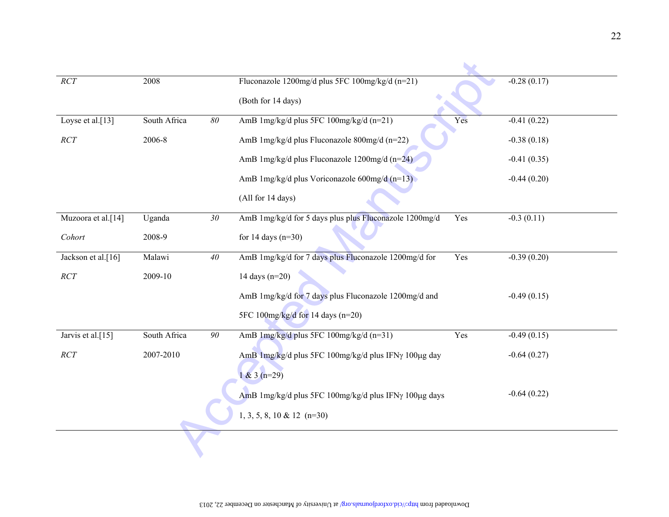| RCT                | 2008         |                 | Fluconazole 1200mg/d plus 5FC 100mg/kg/d (n=21)               | $-0.28(0.17)$ |
|--------------------|--------------|-----------------|---------------------------------------------------------------|---------------|
|                    |              |                 | (Both for 14 days)                                            |               |
| Loyse et al.[13]   | South Africa | $\delta\theta$  | AmB 1mg/kg/d plus 5FC 100mg/kg/d (n=21)<br>Yes                | $-0.41(0.22)$ |
| $\cal{R}CT$        | 2006-8       |                 | AmB 1mg/kg/d plus Fluconazole 800mg/d (n=22)                  | $-0.38(0.18)$ |
|                    |              |                 | AmB 1mg/kg/d plus Fluconazole 1200mg/d (n=24)                 | $-0.41(0.35)$ |
|                    |              |                 | AmB 1mg/kg/d plus Voriconazole 600mg/d (n=13)                 | $-0.44(0.20)$ |
|                    |              |                 | (All for 14 days)                                             |               |
| Muzoora et al.[14] | Uganda       | 30 <sub>2</sub> | AmB 1mg/kg/d for 5 days plus plus Fluconazole 1200mg/d<br>Yes | $-0.3(0.11)$  |
| Cohort             | 2008-9       |                 | for 14 days $(n=30)$                                          |               |
| Jackson et al.[16] | Malawi       | 40              | AmB 1mg/kg/d for 7 days plus Fluconazole 1200mg/d for<br>Yes  | $-0.39(0.20)$ |
| RCT                | 2009-10      |                 | 14 days $(n=20)$                                              |               |
|                    |              |                 | AmB 1mg/kg/d for 7 days plus Fluconazole 1200mg/d and         | $-0.49(0.15)$ |
|                    |              |                 | 5FC 100mg/kg/d for 14 days (n=20)                             |               |
| Jarvis et al.[15]  | South Africa | 90              | AmB 1mg/kg/d plus 5FC 100mg/kg/d (n=31)<br>Yes                | $-0.49(0.15)$ |
| RCT                | 2007-2010    |                 | AmB 1mg/kg/d plus 5FC 100mg/kg/d plus IFNγ 100μg day          | $-0.64(0.27)$ |
|                    |              |                 | $1 & 3 (n=29)$                                                |               |
|                    |              |                 | AmB 1mg/kg/d plus 5FC 100mg/kg/d plus IFNy 100µg days         | $-0.64(0.22)$ |
|                    |              |                 | $1, 3, 5, 8, 10 \& 12 \text{ (n=30)}$                         |               |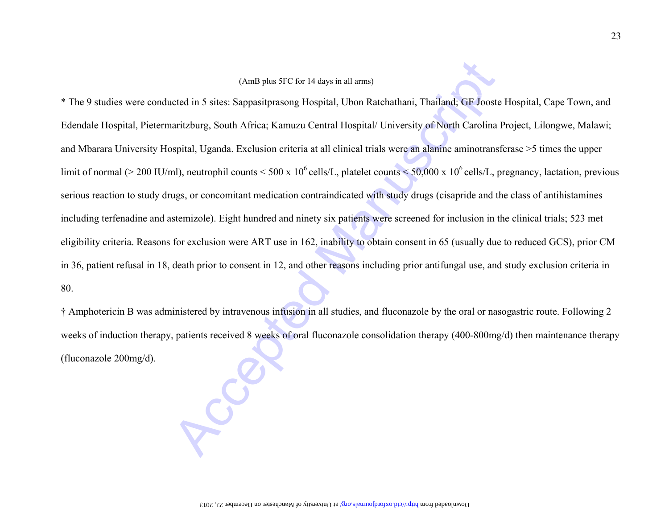(Anthrane SPC for Halays and harm)<br>
The 9 studies were conducted in 5 sites: Sappasitprasong Hotpital, Ubon Ratchathani, Thailand: GF Jooste Hospital, Cape Town, and<br>
Eidentale Hospital, Pietermaritzburg, South Africa; Kar serious reaction to study drugs, or concomitant medication contraindicated with study drugs (cisapride and the class of antihistamines including terfenadine and astemizole). Eight hundred and ninety six patients were screened for inclusion in the clinical trials; 523 met eligibility criteria. Reasons for exclusion were ART use in 162, inability to obtain consent in 65 (usually due to reduced GCS), prior CM in 36, patient refusal in 18, death prior to consent in 12, and other reasons including prior antifungal use, and study exclusion criteria in 80.

† Amphotericin B was administered by intravenous infusion in all studies, and fluconazole by the oral or nasogastric route. Following 2 weeks of induction therapy, patients received 8 weeks of oral fluconazole consolidation therapy (400-800mg/d) then maintenance therapy (fluconazole 200mg/d).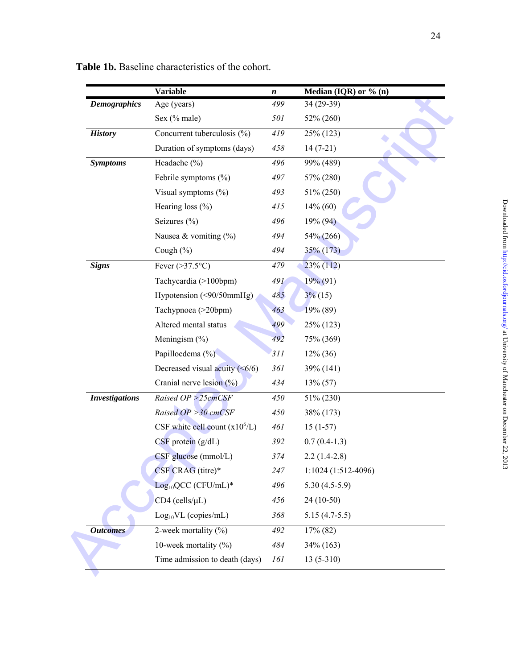|                       | Variable                             | n   | Median (IQR) or $\%$ (n) |
|-----------------------|--------------------------------------|-----|--------------------------|
| <b>Demographics</b>   | Age (years)                          | 499 | 34 (29-39)               |
|                       | Sex (% male)                         | 501 | 52% (260)                |
| <b>History</b>        | Concurrent tuberculosis (%)          | 419 | 25% (123)                |
|                       | Duration of symptoms (days)          | 458 | $14(7-21)$               |
| <b>Symptoms</b>       | Headache (%)                         | 496 | 99% (489)                |
|                       | Febrile symptoms $(\% )$             | 497 | 57% (280)                |
|                       | Visual symptoms $(\% )$              | 493 | 51% (250)                |
|                       | Hearing loss $(\% )$                 | 415 | $14\%$ (60)              |
|                       | Seizures $(\% )$                     | 496 | 19% (94)                 |
|                       | Nausea & vomiting $(\%)$             | 494 | 54% (266)                |
|                       | Cough (%)                            | 494 | 35% (173)                |
| <b>Signs</b>          | Fever $(>37.5$ °C)                   | 479 | $23\%$ (112)             |
|                       | Tachycardia (>100bpm)                | 491 | 19% (91)                 |
|                       | Hypotension (<90/50mmHg)             | 485 | $3\%$ (15)               |
|                       | Tachypnoea (>20bpm)                  | 463 | 19% (89)                 |
|                       | Altered mental status                | 499 | 25% (123)                |
|                       | Meningism $(\% )$                    | 492 | 75% (369)                |
|                       | Papilloedema (%)                     | 311 | $12\%$ (36)              |
|                       | Decreased visual acuity $(\leq 6/6)$ | 361 | 39% (141)                |
|                       | Cranial nerve lesion $(\% )$         | 434 | $13\% (57)$              |
| <b>Investigations</b> | Raised $OP > 25cmCSF$                | 450 | 51% (230)                |
|                       | Raised OP > 30 cmCSF                 | 450 | 38% (173)                |
|                       | CSF white cell count $(x10^6/L)$     | 461 | $15(1-57)$               |
|                       | $CSF$ protein $(g/dL)$               | 392 | $0.7(0.4-1.3)$           |
|                       | CSF glucose (mmol/L)                 | 374 | $2.2(1.4-2.8)$           |
|                       | CSF CRAG (titre)*                    | 247 | 1:1024 (1:512-4096)      |
|                       | $Log10QCC$ (CFU/mL)*                 | 496 | $5.30(4.5-5.9)$          |
|                       | $CD4$ (cells/ $\mu L$ )              | 456 | 24 (10-50)               |
|                       | $Log_{10}VL$ (copies/mL)             | 368 | $5.15(4.7-5.5)$          |
| <b>Outcomes</b>       | 2-week mortality $(\%)$              | 492 | $17\%$ (82)              |
|                       | 10-week mortality $(\%)$             | 484 | 34% (163)                |
|                       | Time admission to death (days)       | 161 | $13(5-310)$              |

**Table 1b.** Baseline characteristics of the cohort.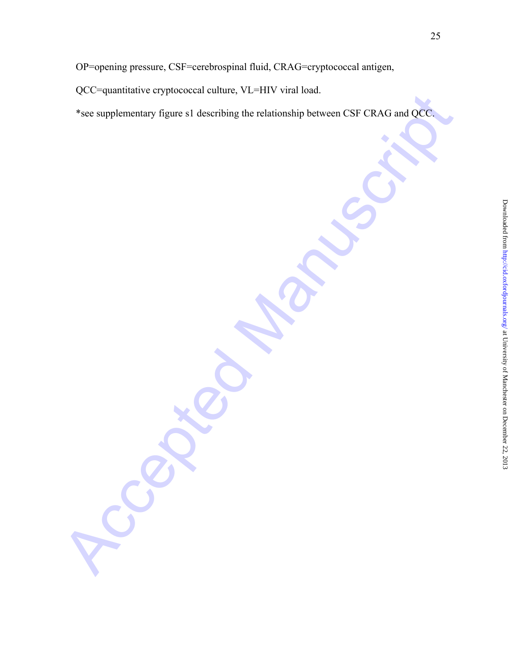QCC=quantitative cryptococcal culture, VL=HIV viral load.

Acces supplementary figures st describing the relationship between CSF CRAG and OCC \*see supplementary figure s1 describing the relationship between CSF CRAG and QCC.

25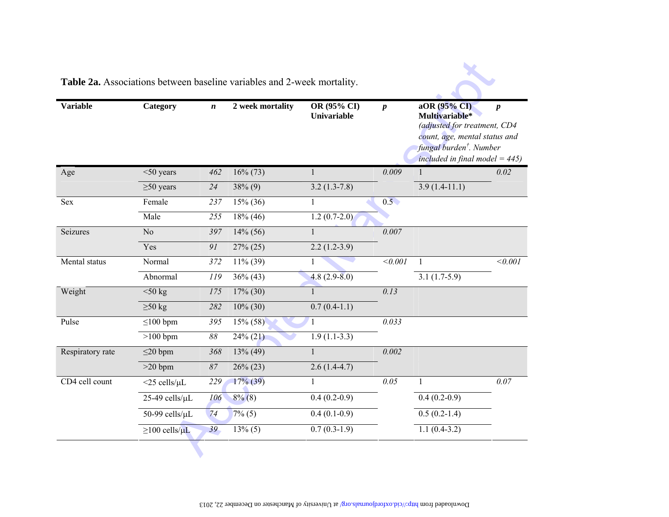| <b>Variable</b>  | <b>Category</b>           | $\boldsymbol{n}$ | 2 week mortality | OR (95% CI)<br><b>Univariable</b> | $\boldsymbol{p}$ | aOR (95% CI)<br>Multivariable*<br>(adjusted for treatment, CD4<br>count, age, mental status and<br>fungal burden <sup>†</sup> . Number<br>included in final model = $445$ ) | $\boldsymbol{p}$ |
|------------------|---------------------------|------------------|------------------|-----------------------------------|------------------|-----------------------------------------------------------------------------------------------------------------------------------------------------------------------------|------------------|
| Age              | $<$ 50 years              | 462              | $16\% (73)$      | $\mathbf{1}$                      | 0.009            |                                                                                                                                                                             | 0.02             |
|                  | $\geq 50$ years           | 24               | $38\%$ (9)       | $3.2(1.3-7.8)$                    |                  | $3.9(1.4-11.1)$                                                                                                                                                             |                  |
| Sex              | Female                    | 237              | $15\%$ (36)      | $\mathbf{1}$                      | 0.5              |                                                                                                                                                                             |                  |
|                  | Male                      | 255              | $18\%$ (46)      | $1.2(0.7-2.0)$                    |                  |                                                                                                                                                                             |                  |
| Seizures         | N <sub>o</sub>            | 397              | $14\%$ (56)      | $\mathbf{1}$                      | 0.007            |                                                                                                                                                                             |                  |
|                  | Yes                       | 91               | 27% (25)         | $2.2(1.2-3.9)$                    |                  |                                                                                                                                                                             |                  |
| Mental status    | Normal                    | 372              | $11\%$ (39)      | $\mathbf{1}$                      | < 0.001          | 1                                                                                                                                                                           | < 0.001          |
|                  | Abnormal                  | 119              | $36\% (43)$      | $4.8(2.9-8.0)$                    |                  | $3.\overline{1(1.7-5.9)}$                                                                                                                                                   |                  |
| Weight           | $<$ 50 kg                 | 175              | $17\%$ (30)      | $\mathbf{1}$                      | 0.13             |                                                                                                                                                                             |                  |
|                  | $\geq 50$ kg              | 282              | $10\%$ (30)      | $0.7(0.4-1.1)$                    |                  |                                                                                                                                                                             |                  |
| Pulse            | $\leq$ 100 bpm            | 395              | $15\% (58)$      | 1                                 | 0.033            |                                                                                                                                                                             |                  |
|                  | $>100$ bpm                | $88\,$           | $24\% (21)$      | $1.9(1.1-3.3)$                    |                  |                                                                                                                                                                             |                  |
| Respiratory rate | $\leq$ 20 bpm             | 368              | $13\%$ (49)      | $\mathbf{1}$                      | 0.002            |                                                                                                                                                                             |                  |
|                  | $>20$ bpm                 | 87               | $26\% (23)$      | $2.6(1.4-4.7)$                    |                  |                                                                                                                                                                             |                  |
| CD4 cell count   | $<$ 25 cells/ $\mu$ L     | 229              | $17\%$ (39)      | $\mathbf{1}$                      | 0.05             | $\mathbf{1}$                                                                                                                                                                | 0.07             |
|                  | 25-49 cells/µL            | 106              | $8\%$ (8)        | $0.4(0.2-0.9)$                    |                  | $0.4(0.2-0.9)$                                                                                                                                                              |                  |
|                  | 50-99 cells/µL            | 74               | $7\%$ (5)        | $0.4(0.1-0.9)$                    |                  | $0.5(0.2-1.4)$                                                                                                                                                              |                  |
|                  | $\geq$ 100 cells/ $\mu$ L | 39               | $13\%$ (5)       | $0.7(0.3-1.9)$                    |                  | $1.1(0.4-3.2)$                                                                                                                                                              |                  |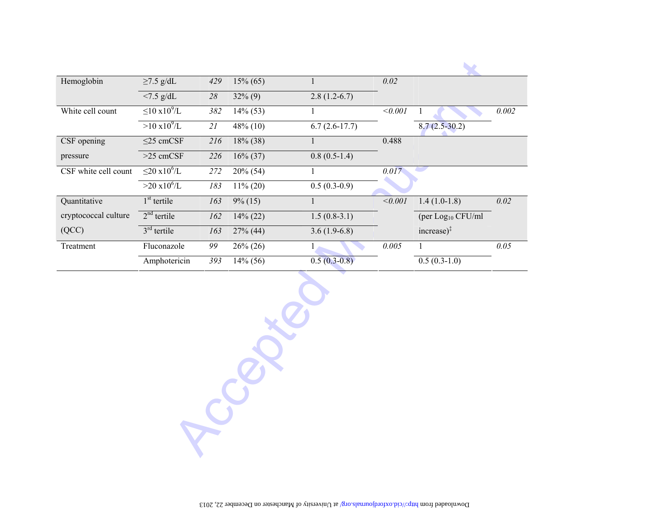| Hemoglobin           | $\geq$ 7.5 g/dL               | 429 | $15\% (65)$ |                 | 0.02    |                                                    |       |
|----------------------|-------------------------------|-----|-------------|-----------------|---------|----------------------------------------------------|-------|
|                      | $< 7.5$ g/dL                  | 28  | $32\%$ (9)  | $2.8(1.2-6.7)$  |         |                                                    |       |
| White cell count     | $\leq$ 10 x10 <sup>9</sup> /L | 382 | $14\%$ (53) |                 | < 0.001 |                                                    | 0.002 |
|                      | $>10 \times 10^{9}$ /L        | 21  | $48\%$ (10) | $6.7(2.6-17.7)$ |         | $8.7(2.5-30.2)$                                    |       |
| CSF opening          | $\leq$ 25 cmCSF               | 216 | $18\%$ (38) |                 | 0.488   |                                                    |       |
| pressure             | $>25$ cmCSF                   | 226 | $16\% (37)$ | $0.8(0.5-1.4)$  |         |                                                    |       |
| CSF white cell count | $\leq$ 20 x10 <sup>6</sup> /L | 272 | $20\%$ (54) |                 | 0.017   |                                                    |       |
|                      | $>20 \times 10^6$ /L          | 183 | $11\% (20)$ | $0.5(0.3-0.9)$  |         |                                                    |       |
| Quantitative         | $1st$ tertile                 | 163 | $9\%$ (15)  |                 | < 0.001 | $1.4(1.0-1.8)$                                     | 0.02  |
| cryptococcal culture | $2nd$ tertile                 | 162 | $14\%$ (22) | $1.5(0.8-3.1)$  |         | (per Log <sub>10</sub> CFU/ml                      |       |
| (QCC)                | $3rd$ tertile                 | 163 | $27\%$ (44) | $3.6(1.9-6.8)$  |         | $\text{increase}$ <sup><math>\ddagger</math></sup> |       |
| Treatment            | Fluconazole                   | 99  | $26\% (26)$ |                 | 0.005   |                                                    | 0.05  |
|                      | Amphotericin                  | 393 | $14\%$ (56) | $0.5(0.3-0.8)$  |         | $0.5(0.3-1.0)$                                     |       |

Accepted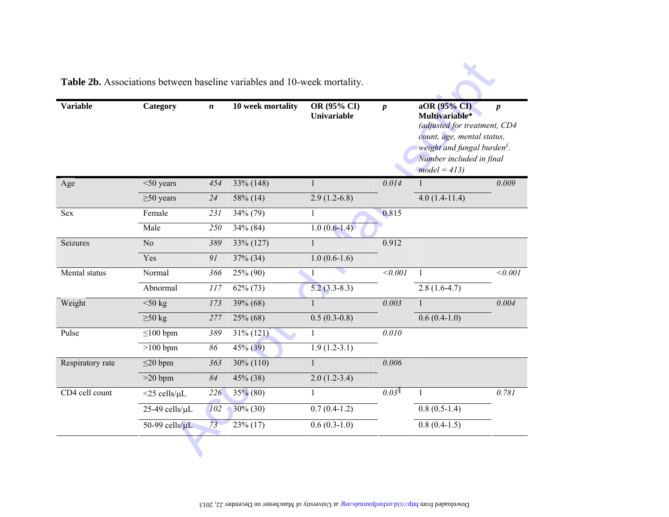| <b>Variable</b>  | Category              | $\boldsymbol{n}$ | 10 week mortality | OR (95% CI)<br><b>Univariable</b> | $\boldsymbol{p}$ | aOR (95% CI)<br>Multivariable*<br>(adjusted for treatment, CD4<br>count, age, mental status,<br>weight and fungal burden <sup>§</sup> .<br>Number included in final<br>$model = 413$ | $\boldsymbol{p}$ |
|------------------|-----------------------|------------------|-------------------|-----------------------------------|------------------|--------------------------------------------------------------------------------------------------------------------------------------------------------------------------------------|------------------|
| Age              | $<$ 50 years          | 454              | 33% (148)         | 1                                 | 0.014            | 1                                                                                                                                                                                    | 0.009            |
|                  | $\geq 50$ years       | 24               | 58% (14)          | $2.9(1.2-6.8)$                    |                  | $4.0(1.4-11.4)$                                                                                                                                                                      |                  |
| Sex              | Female                | 231              | 34% (79)          | $\mathbf{1}$                      | 0.815            |                                                                                                                                                                                      |                  |
|                  | Male                  | 250              | $34\%$ (84)       | $1.0(0.6-1.4)$                    |                  |                                                                                                                                                                                      |                  |
| Seizures         | N <sub>o</sub>        | 389              | 33% (127)         | $\mathbf{1}$                      | 0.912            |                                                                                                                                                                                      |                  |
|                  | Yes                   | 91               | 37% (34)          | $1.0(0.6-1.6)$                    |                  |                                                                                                                                                                                      |                  |
| Mental status    | Normal                | 366              | 25% (90)          | $\mathbf{1}$                      | < 0.001          | 1                                                                                                                                                                                    | < 0.001          |
|                  | Abnormal              | 117              | $62\% (73)$       | $5.2(3.3-8.3)$                    |                  | $2.8(1.6-4.7)$                                                                                                                                                                       |                  |
| Weight           | $50 \text{ kg}$       | 173              | 39% (68)          | $\mathbf{1}$                      | 0.003            | $\mathbf{1}$                                                                                                                                                                         | 0.004            |
|                  | $\geq 50$ kg          | 277              | $25\%$ (68)       | $0.5(0.3-0.8)$                    |                  | $0.6(0.4-1.0)$                                                                                                                                                                       |                  |
| Pulse            | $\leq$ 100 bpm        | 389              | $31\% (121)$      | 1                                 | 0.010            |                                                                                                                                                                                      |                  |
|                  | $>100$ bpm            | 86               | $45\% (39)$       | $1.9(1.2-3.1)$                    |                  |                                                                                                                                                                                      |                  |
| Respiratory rate | $\leq$ 20 bpm         | 363              | $30\% (110)$      | 1                                 | 0.006            |                                                                                                                                                                                      |                  |
|                  | $>20$ bpm             | 84               | 45% (38)          | $2.0(1.2-3.4)$                    |                  |                                                                                                                                                                                      |                  |
| CD4 cell count   | $<$ 25 cells/ $\mu$ L | 226              | $35\%$ (80)       | $\mathbf{1}$                      | 0.03             | $\mathbf{1}$                                                                                                                                                                         | 0.781            |
|                  | 25-49 cells/µL        | 102              | $30\%$ (30)       | $0.7(0.4-1.2)$                    |                  | $0.8(0.5-1.4)$                                                                                                                                                                       |                  |
|                  | 50-99 cells/ $\mu$ L  | 73               | $23\%$ (17)       | $0.6(0.3-1.0)$                    |                  | $0.8(0.4-1.5)$                                                                                                                                                                       |                  |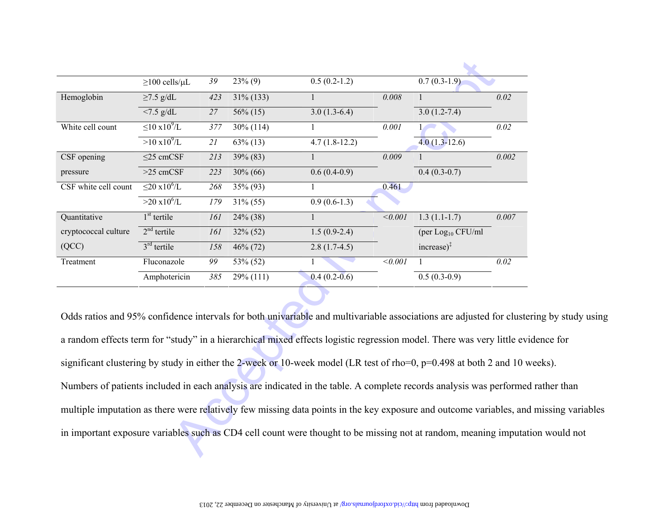|                                                                                                                                                                                                                                                                                                                                                                                                                                                                                                                                                                                                                    | $\geq$ 100 cells/ $\mu$ L     | 39  | $23\%$ (9)   | $0.5(0.2-1.2)$  |                | $0.7(0.3-1.9)$                                     |                   |
|--------------------------------------------------------------------------------------------------------------------------------------------------------------------------------------------------------------------------------------------------------------------------------------------------------------------------------------------------------------------------------------------------------------------------------------------------------------------------------------------------------------------------------------------------------------------------------------------------------------------|-------------------------------|-----|--------------|-----------------|----------------|----------------------------------------------------|-------------------|
| Hemoglobin                                                                                                                                                                                                                                                                                                                                                                                                                                                                                                                                                                                                         | $\geq$ 7.5 g/dL               | 423 | $31\% (133)$ | $\mathbf{1}$    | 0.008          | $\mathbf{1}$                                       | 0.02              |
|                                                                                                                                                                                                                                                                                                                                                                                                                                                                                                                                                                                                                    | $< 7.5$ g/dL                  | 27  | $56\%$ (15)  | $3.0(1.3-6.4)$  |                | $3.0(1.2-7.4)$                                     |                   |
| White cell count                                                                                                                                                                                                                                                                                                                                                                                                                                                                                                                                                                                                   | $\leq 10 \times 10^9$ /L      | 377 | $30\% (114)$ | $\mathbf{1}$    | 0.001          | $\mathbf{1}$                                       | $\overline{0.02}$ |
|                                                                                                                                                                                                                                                                                                                                                                                                                                                                                                                                                                                                                    | $>10 \times 10^9$ /L          | 21  | $63\%$ (13)  | $4.7(1.8-12.2)$ |                | $4.0(1.3-12.6)$                                    |                   |
| CSF opening                                                                                                                                                                                                                                                                                                                                                                                                                                                                                                                                                                                                        | $\leq$ 25 cmCSF               | 213 | 39% (83)     | $\mathbf{1}$    | 0.009          | $\mathbf{1}$                                       | 0.002             |
| pressure                                                                                                                                                                                                                                                                                                                                                                                                                                                                                                                                                                                                           | $>25$ cmCSF                   | 223 | $30\% (66)$  | $0.6(0.4-0.9)$  |                | $0.4(0.3-0.7)$                                     |                   |
| CSF white cell count                                                                                                                                                                                                                                                                                                                                                                                                                                                                                                                                                                                               | $\leq$ 20 x10 <sup>6</sup> /L | 268 | 35% (93)     | 1               | 0.461          |                                                    |                   |
|                                                                                                                                                                                                                                                                                                                                                                                                                                                                                                                                                                                                                    | $>20 \times 10^{6}/L$         | 179 | $31\% (55)$  | $0.9(0.6-1.3)$  |                |                                                    |                   |
| Quantitative                                                                                                                                                                                                                                                                                                                                                                                                                                                                                                                                                                                                       | $1st$ tertile                 | 161 | 24% (38)     | $\mathbf{1}$    | $\sqrt{0.001}$ | $1.3(1.1-1.7)$                                     | 0.007             |
| cryptococcal culture                                                                                                                                                                                                                                                                                                                                                                                                                                                                                                                                                                                               | $2nd$ tertile                 | 161 | $32\% (52)$  | $1.5(0.9-2.4)$  |                | (per Log <sub>10</sub> CFU/ml                      |                   |
| (QCC)                                                                                                                                                                                                                                                                                                                                                                                                                                                                                                                                                                                                              | $3rd$ tertile                 | 158 | 46% (72)     | $2.8(1.7-4.5)$  |                | $\text{increase}$ <sup><math>\ddagger</math></sup> |                   |
| Treatment                                                                                                                                                                                                                                                                                                                                                                                                                                                                                                                                                                                                          | Fluconazole                   | 99  | 53% (52)     | $\mathbf{1}$    | < 0.001        | 1                                                  | 0.02              |
|                                                                                                                                                                                                                                                                                                                                                                                                                                                                                                                                                                                                                    | Amphotericin                  | 385 | $29\% (111)$ | $0.4(0.2-0.6)$  |                | $0.5(0.3-0.9)$                                     |                   |
| Odds ratios and 95% confidence intervals for both univariable and multivariable associations are adjusted for cluste<br>a random effects term for "study" in a hierarchical mixed effects logistic regression model. There was very little ev<br>significant clustering by study in either the 2-week or 10-week model (LR test of rho=0, p=0.498 at both 2 and 10 v<br>Numbers of patients included in each analysis are indicated in the table. A complete records analysis was performed<br>multiple imputation as there were relatively few missing data points in the key exposure and outcome variables, and |                               |     |              |                 |                |                                                    |                   |
| in important exposure variables such as CD4 cell count were thought to be missing not at random, meaning imputat                                                                                                                                                                                                                                                                                                                                                                                                                                                                                                   |                               |     |              |                 |                |                                                    |                   |

Odds ratios and 95% confidence intervals for both univariable and multivariable associations are adjusted for clustering by study using a random effects term for "study" in a hierarchical mixed effects logistic regression model. There was very little evidence for significant clustering by study in either the 2-week or 10-week model (LR test of rho=0, p=0.498 at both 2 and 10 weeks). Numbers of patients included in each analysis are indicated in the table. A complete records analysis was performed rather than multiple imputation as there were relatively few missing data points in the key exposure and outcome variables, and missing variables in important exposure variables such as CD4 cell count were thought to be missing not at random, meaning imputation would not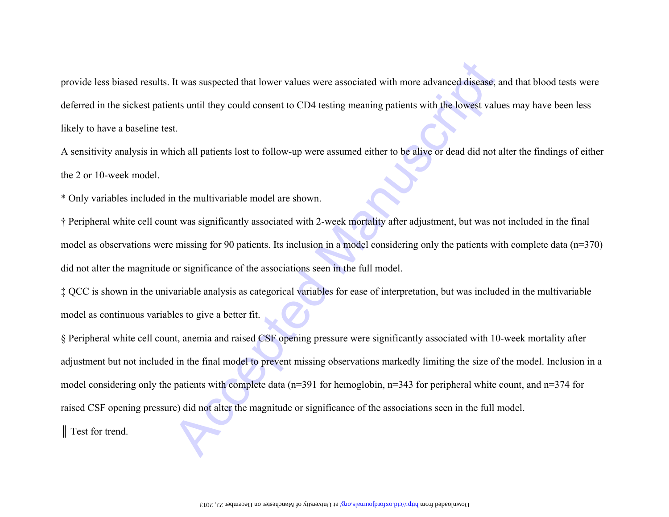\* Only variables included in the multivariable model are shown.

† Peripheral white cell count was significantly associated with 2-week mortality after adjustment, but was not included in the final model as observations were missing for 90 patients. Its inclusion in a model considering only the patients with complete data (n=370) did not alter the magnitude or significance of the associations seen in the full model.

‡ QCC is shown in the univariable analysis as categorical variables for ease of interpretation, but was included in the multivariable model as continuous variables to give a better fit.

provide less biased results. It was suspected that lewer values were associated with more advanced disease; and that blood tests were<br>deferred in the sickest patients until they could consent to CD4 testing meaning patient § Peripheral white cell count, anemia and raised CSF opening pressure were significantly associated with 10-week mortality after adjustment but not included in the final model to prevent missing observations markedly limiting the size of the model. Inclusion in a model considering only the patients with complete data (n=391 for hemoglobin, n=343 for peripheral white count, and n=374 for raised CSF opening pressure) did not alter the magnitude or significance of the associations seen in the full model. ║ Test for trend.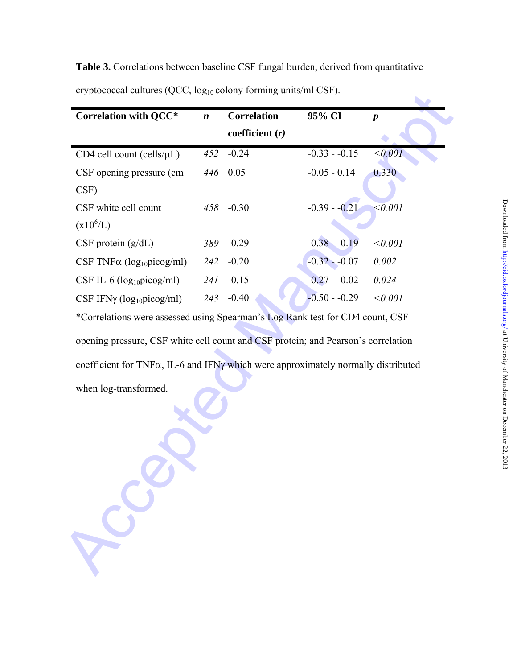**Table 3.** Correlations between baseline CSF fungal burden, derived from quantitative cryptococcal cultures (QCC, log10 colony forming units/ml CSF).

| <b>Correlation with QCC*</b>                                                                                                                                                                    | $\boldsymbol{n}$ | <b>Correlation</b> | 95% CI         | $\boldsymbol{p}$ |
|-------------------------------------------------------------------------------------------------------------------------------------------------------------------------------------------------|------------------|--------------------|----------------|------------------|
|                                                                                                                                                                                                 |                  | coefficient $(r)$  |                |                  |
| CD4 cell count (cells/µL)                                                                                                                                                                       | 452              | $-0.24$            | $-0.33 - 0.15$ | < 0.001          |
| CSF opening pressure (cm                                                                                                                                                                        | 446              | 0.05               | $-0.05 - 0.14$ | 0.330            |
| CSF)                                                                                                                                                                                            |                  |                    |                |                  |
| CSF white cell count                                                                                                                                                                            | 458              | $-0.30$            | $-0.39 - 0.21$ | $\le 0.001$      |
| $(x10^6/L)$                                                                                                                                                                                     |                  |                    |                |                  |
| $CSF$ protein $(g/dL)$                                                                                                                                                                          | 389              | $-0.29$            | $-0.38 - 0.19$ | < 0.001          |
| CSF TNF $\alpha$ (log <sub>10</sub> picog/ml)                                                                                                                                                   | 242              | $-0.20$            | $-0.32 - 0.07$ | 0.002            |
| CSF IL-6 $(log_{10}picog/ml)$                                                                                                                                                                   | 241              | $-0.15$            | $-0.27 - 0.02$ | 0.024            |
| CSF IFN $\gamma$ (log <sub>10</sub> picog/ml)                                                                                                                                                   | 243              | $-0.40$            | $-0.50 - 0.29$ | < 0.001          |
|                                                                                                                                                                                                 |                  |                    |                |                  |
|                                                                                                                                                                                                 |                  |                    |                |                  |
|                                                                                                                                                                                                 |                  |                    |                |                  |
| opening pressure, CSF white cell count and CSF protein; and Pearson's correlation<br>coefficient for TNFa, IL-6 and IFNy which were approximately normally distributed<br>when log-transformed. |                  |                    |                |                  |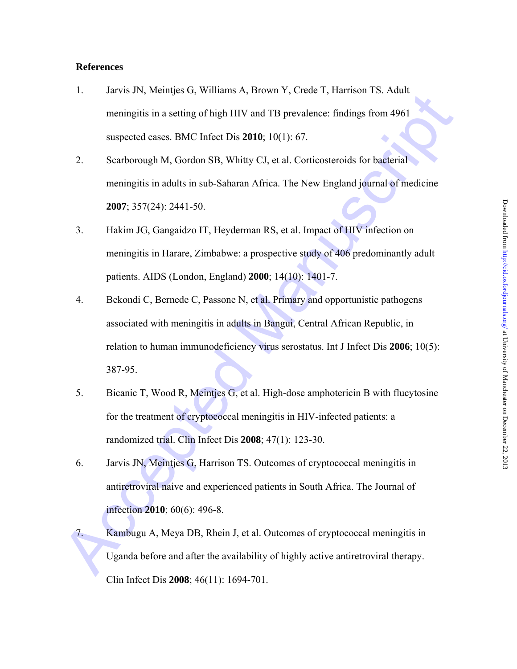# **References**

- 1. Jarvis JN, Meintjes G, Williams A, Brown Y, Crede T, Harrison TS. Adult meningitis in a setting of high HIV and TB prevalence: findings from 4961 suspected cases. BMC Infect Dis **2010**; 10(1): 67.
- 2. Scarborough M, Gordon SB, Whitty CJ, et al. Corticosteroids for bacterial meningitis in adults in sub-Saharan Africa. The New England journal of medicine **2007**; 357(24): 2441-50.
- 3. Hakim JG, Gangaidzo IT, Heyderman RS, et al. Impact of HIV infection on meningitis in Harare, Zimbabwe: a prospective study of 406 predominantly adult patients. AIDS (London, England) **2000**; 14(10): 1401-7.
- Accept of the Heather of Chyfonderia Bandwin (Accept 1, marison 1.2, Nual<br>
meningitis in a setting of high HIV and TB prevalence: findings from 4961<br>
suspected cases. BMC Infect Dis 2010: 10(1): 67.<br>
2. Scarborough M, Gor 4. Bekondi C, Bernede C, Passone N, et al. Primary and opportunistic pathogens associated with meningitis in adults in Bangui, Central African Republic, in relation to human immunodeficiency virus serostatus. Int J Infect Dis **2006**; 10(5): 387-95.
	- 5. Bicanic T, Wood R, Meintjes G, et al. High-dose amphotericin B with flucytosine for the treatment of cryptococcal meningitis in HIV-infected patients: a randomized trial. Clin Infect Dis **2008**; 47(1): 123-30.
	- 6. Jarvis JN, Meintjes G, Harrison TS. Outcomes of cryptococcal meningitis in antiretroviral naive and experienced patients in South Africa. The Journal of infection **2010**; 60(6): 496-8.
	- 7. Kambugu A, Meya DB, Rhein J, et al. Outcomes of cryptococcal meningitis in Uganda before and after the availability of highly active antiretroviral therapy. Clin Infect Dis **2008**; 46(11): 1694-701.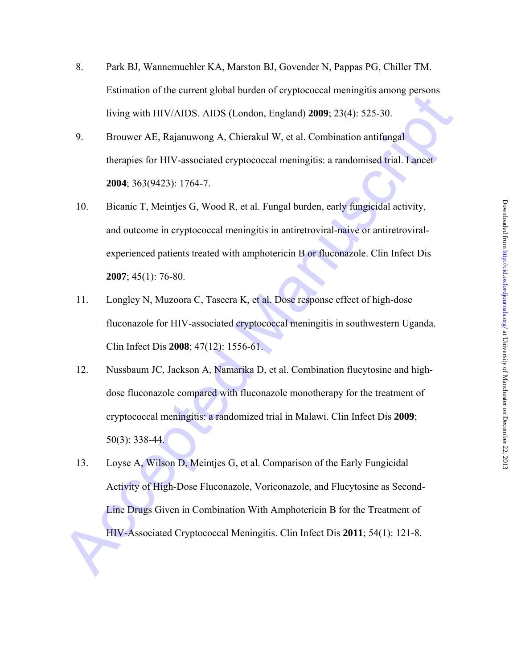- 8. Park BJ, Wannemuehler KA, Marston BJ, Govender N, Pappas PG, Chiller TM. Estimation of the current global burden of cryptococcal meningitis among persons living with HIV/AIDS. AIDS (London, England) **2009**; 23(4): 525-30.
- 9. Brouwer AE, Rajanuwong A, Chierakul W, et al. Combination antifungal therapies for HIV-associated cryptococcal meningitis: a randomised trial. Lancet **2004**; 363(9423): 1764-7.
- 10. Bicanic T, Meintjes G, Wood R, et al. Fungal burden, early fungicidal activity, and outcome in cryptococcal meningitis in antiretroviral-naive or antiretroviralexperienced patients treated with amphotericin B or fluconazole. Clin Infect Dis **2007**; 45(1): 76-80.
- 11. Longley N, Muzoora C, Taseera K, et al. Dose response effect of high-dose fluconazole for HIV-associated cryptococcal meningitis in southwestern Uganda. Clin Infect Dis **2008**; 47(12): 1556-61.
- Examinator of the current groota bacteti of vypicococcal mentions of the straight of the HV-AS (Tomdon, Finglind) 2009-23(4): 525-30.<br>
9. Browwer AF. Rajamuwong A, Chieralkul W, et al. Combination antifingal<br>
thereignes f 12. Nussbaum JC, Jackson A, Namarika D, et al. Combination flucytosine and highdose fluconazole compared with fluconazole monotherapy for the treatment of cryptococcal meningitis: a randomized trial in Malawi. Clin Infect Dis **2009**; 50(3): 338-44.
	- 13. Loyse A, Wilson D, Meintjes G, et al. Comparison of the Early Fungicidal Activity of High-Dose Fluconazole, Voriconazole, and Flucytosine as Second-Line Drugs Given in Combination With Amphotericin B for the Treatment of HIV-Associated Cryptococcal Meningitis. Clin Infect Dis **2011**; 54(1): 121-8.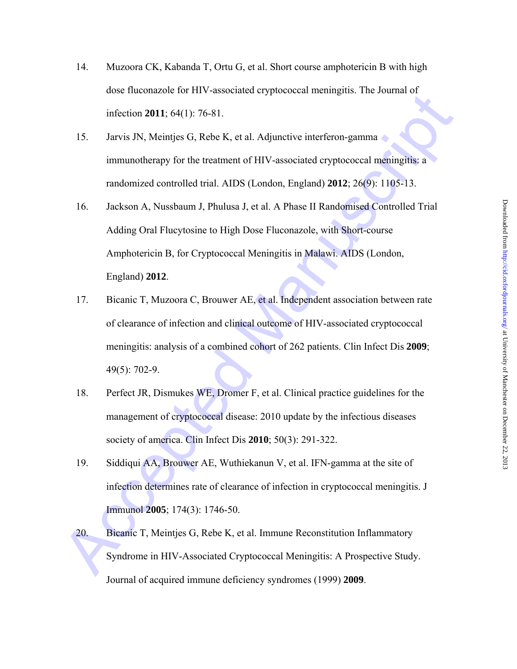- 14. Muzoora CK, Kabanda T, Ortu G, et al. Short course amphotericin B with high dose fluconazole for HIV-associated cryptococcal meningitis. The Journal of infection **2011**; 64(1): 76-81.
- 15. Jarvis JN, Meintjes G, Rebe K, et al. Adjunctive interferon-gamma immunotherapy for the treatment of HIV-associated cryptococcal meningitis: a randomized controlled trial. AIDS (London, England) **2012**; 26(9): 1105-13.
- uses internative for *HY* \*4ssociated exploration infinitential infection 2011; 64(1): 76-81.<br>
15. Jarvis JN, Meintjes G, Rebe K, et al. Adjunctive interferon-gamma<br>
immunotherapy for the treatment of HIV-associated crypto 16. Jackson A, Nussbaum J, Phulusa J, et al. A Phase II Randomised Controlled Trial Adding Oral Flucytosine to High Dose Fluconazole, with Short-course Amphotericin B, for Cryptococcal Meningitis in Malawi. AIDS (London, England) **2012**.
	- 17. Bicanic T, Muzoora C, Brouwer AE, et al. Independent association between rate of clearance of infection and clinical outcome of HIV-associated cryptococcal meningitis: analysis of a combined cohort of 262 patients. Clin Infect Dis **2009**; 49(5): 702-9.
	- 18. Perfect JR, Dismukes WE, Dromer F, et al. Clinical practice guidelines for the management of cryptococcal disease: 2010 update by the infectious diseases society of america. Clin Infect Dis **2010**; 50(3): 291-322.
	- 19. Siddiqui AA, Brouwer AE, Wuthiekanun V, et al. IFN-gamma at the site of infection determines rate of clearance of infection in cryptococcal meningitis. J Immunol **2005**; 174(3): 1746-50.
	- 20. Bicanic T, Meintjes G, Rebe K, et al. Immune Reconstitution Inflammatory Syndrome in HIV-Associated Cryptococcal Meningitis: A Prospective Study. Journal of acquired immune deficiency syndromes (1999) **2009**.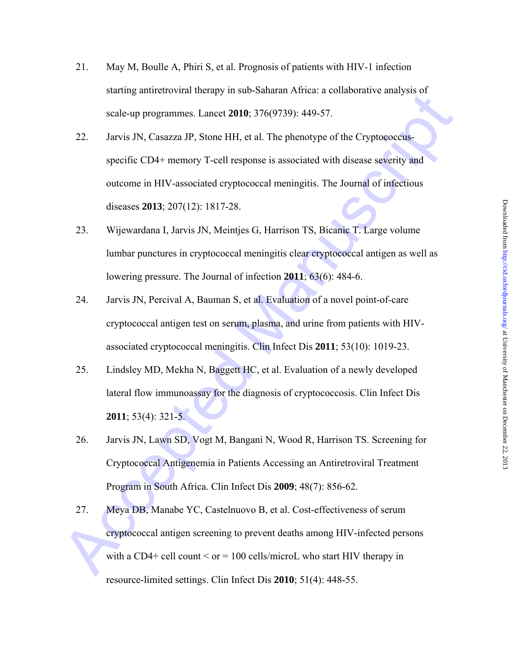- 21. May M, Boulle A, Phiri S, et al. Prognosis of patients with HIV-1 infection starting antiretroviral therapy in sub-Saharan Africa: a collaborative analysis of scale-up programmes. Lancet **2010**; 376(9739): 449-57.
- Accele up programmes I ancele **2010**, 376(9739): 449-57.<br>
22. Jarvis JN, Casarza JP, Stone HH, et al. The phenotype of the Cryptoeoecias-<br>
specific CD4+ memory T-cell response is associated with disease severity and<br>
outco 22. Jarvis JN, Casazza JP, Stone HH, et al. The phenotype of the Cryptococcusspecific CD4+ memory T-cell response is associated with disease severity and outcome in HIV-associated cryptococcal meningitis. The Journal of infectious diseases **2013**; 207(12): 1817-28.
	- 23. Wijewardana I, Jarvis JN, Meintjes G, Harrison TS, Bicanic T. Large volume lumbar punctures in cryptococcal meningitis clear cryptococcal antigen as well as lowering pressure. The Journal of infection **2011**; 63(6): 484-6.
	- 24. Jarvis JN, Percival A, Bauman S, et al. Evaluation of a novel point-of-care cryptococcal antigen test on serum, plasma, and urine from patients with HIVassociated cryptococcal meningitis. Clin Infect Dis **2011**; 53(10): 1019-23.
	- 25. Lindsley MD, Mekha N, Baggett HC, et al. Evaluation of a newly developed lateral flow immunoassay for the diagnosis of cryptococcosis. Clin Infect Dis **2011**; 53(4): 321-5.
	- 26. Jarvis JN, Lawn SD, Vogt M, Bangani N, Wood R, Harrison TS. Screening for Cryptococcal Antigenemia in Patients Accessing an Antiretroviral Treatment Program in South Africa. Clin Infect Dis **2009**; 48(7): 856-62.
	- 27. Meya DB, Manabe YC, Castelnuovo B, et al. Cost-effectiveness of serum cryptococcal antigen screening to prevent deaths among HIV-infected persons with a CD4+ cell count  $\leq$  or = 100 cells/microL who start HIV therapy in resource-limited settings. Clin Infect Dis **2010**; 51(4): 448-55.